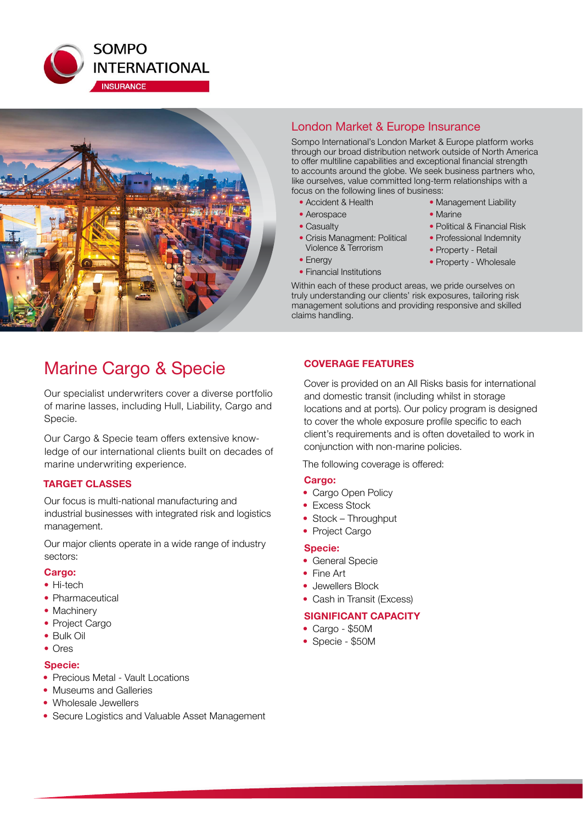



## London Market & Europe Insurance

Sompo International's London Market & Europe platform works through our broad distribution network outside of North America to offer multiline capabilities and exceptional financial strength to accounts around the globe. We seek business partners who, like ourselves, value committed long-term relationships with a focus on the following lines of business:

- Accident & Health
- Aerospace
- Casualty
- Crisis Managment: Political Violence & Terrorism
- Energy
- Financial Institutions
- Management Liability • Marine • Political & Financial Risk
- Professional Indemnity
- Property Retail
- 
- Property Wholesale

Within each of these product areas, we pride ourselves on truly understanding our clients' risk exposures, tailoring risk management solutions and providing responsive and skilled claims handling.

## Marine Cargo & Specie

Our specialist underwriters cover a diverse portfolio of marine lasses, including Hull, Liability, Cargo and Specie.

Our Cargo & Specie team offers extensive knowledge of our international clients built on decades of marine underwriting experience.

#### **TARGET CLASSES**

Our focus is multi-national manufacturing and industrial businesses with integrated risk and logistics management.

Our major clients operate in a wide range of industry sectors:

#### **Cargo:**

- Hi-tech
- Pharmaceutical
- Machinery
- Project Cargo
- Bulk Oil
- Ores

#### **Specie:**

- Precious Metal Vault Locations
- Museums and Galleries
- Wholesale Jewellers
- Secure Logistics and Valuable Asset Management

### **COVERAGE FEATURES**

Cover is provided on an All Risks basis for international and domestic transit (including whilst in storage locations and at ports). Our policy program is designed to cover the whole exposure profile specific to each client's requirements and is often dovetailed to work in conjunction with non-marine policies.

The following coverage is offered:

#### **Cargo:**

- Cargo Open Policy
- Excess Stock
- Stock Throughput
- Project Cargo

#### **Specie:**

- General Specie
- Fine Art
- Jewellers Block
- Cash in Transit (Excess)

## **SIGNIFICANT CAPACITY**

- Cargo \$50M
- Specie \$50M